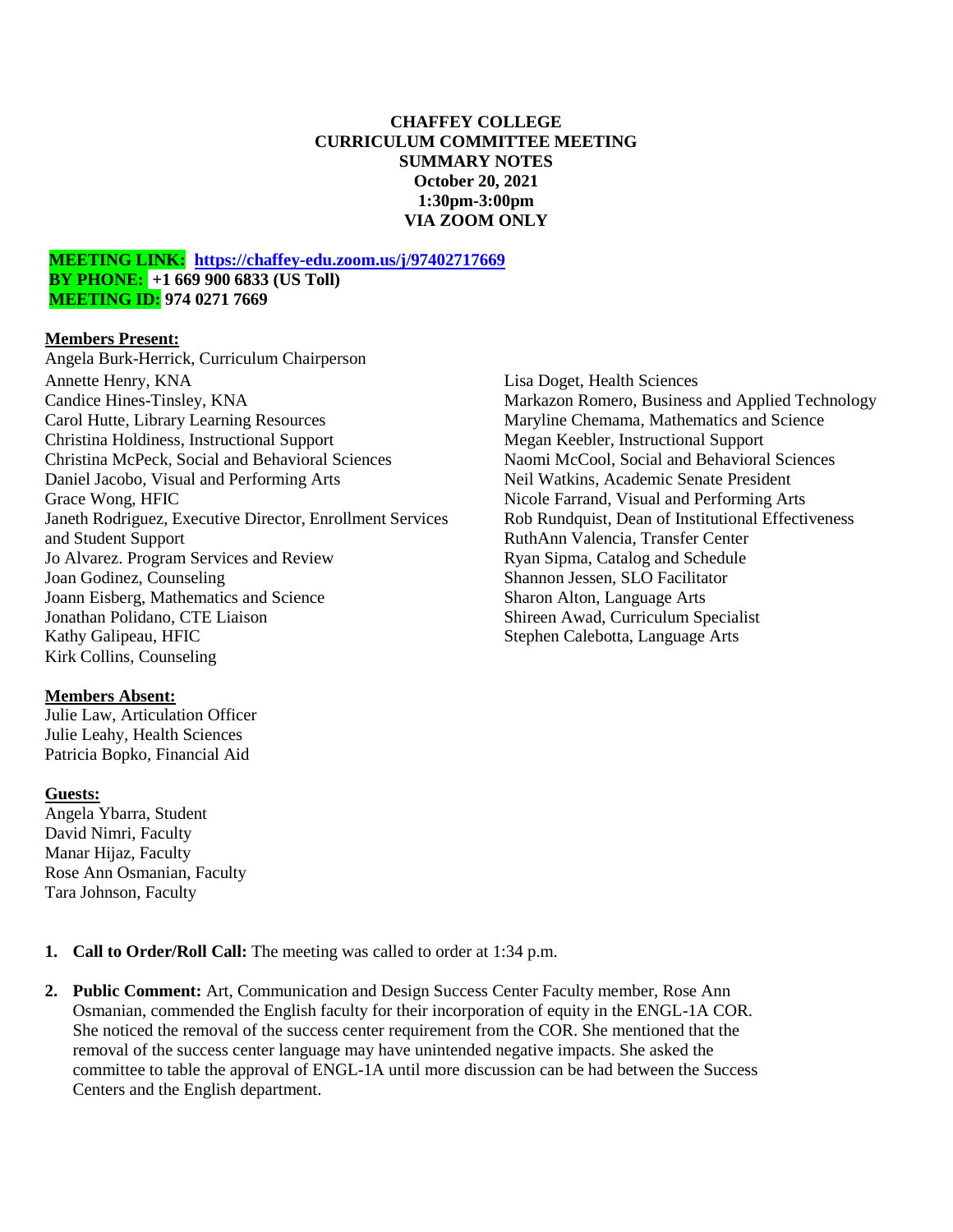## **CHAFFEY COLLEGE CURRICULUM COMMITTEE MEETING SUMMARY NOTES October 20, 2021 1:30pm-3:00pm VIA ZOOM ONLY**

#### **MEETING LINK: <https://chaffey-edu.zoom.us/j/97402717669> BY PHONE: +1 669 900 6833 (US Toll) MEETING ID: 974 0271 7669**

#### **Members Present:**

Angela Burk-Herrick, Curriculum Chairperson Annette Henry, KNA Candice Hines-Tinsley, KNA Carol Hutte, Library Learning Resources Christina Holdiness, Instructional Support Christina McPeck, Social and Behavioral Sciences Daniel Jacobo, Visual and Performing Arts Grace Wong, HFIC Janeth Rodriguez, Executive Director, Enrollment Services and Student Support Jo Alvarez. Program Services and Review Joan Godinez, Counseling Joann Eisberg, Mathematics and Science Jonathan Polidano, CTE Liaison Kathy Galipeau, HFIC Kirk Collins, Counseling

#### **Members Absent:**

Julie Law, Articulation Officer Julie Leahy, Health Sciences Patricia Bopko, Financial Aid

#### **Guests:**

Angela Ybarra, Student David Nimri, Faculty Manar Hijaz, Faculty Rose Ann Osmanian, Faculty Tara Johnson, Faculty

Lisa Doget, Health Sciences Markazon Romero, Business and Applied Technology Maryline Chemama, Mathematics and Science Megan Keebler, Instructional Support Naomi McCool, Social and Behavioral Sciences Neil Watkins, Academic Senate President Nicole Farrand, Visual and Performing Arts Rob Rundquist, Dean of Institutional Effectiveness RuthAnn Valencia, Transfer Center Ryan Sipma, Catalog and Schedule Shannon Jessen, SLO Facilitator Sharon Alton, Language Arts Shireen Awad, Curriculum Specialist Stephen Calebotta, Language Arts

- **1. Call to Order/Roll Call:** The meeting was called to order at 1:34 p.m.
- **2. Public Comment:** Art, Communication and Design Success Center Faculty member, Rose Ann Osmanian, commended the English faculty for their incorporation of equity in the ENGL-1A COR. She noticed the removal of the success center requirement from the COR. She mentioned that the removal of the success center language may have unintended negative impacts. She asked the committee to table the approval of ENGL-1A until more discussion can be had between the Success Centers and the English department.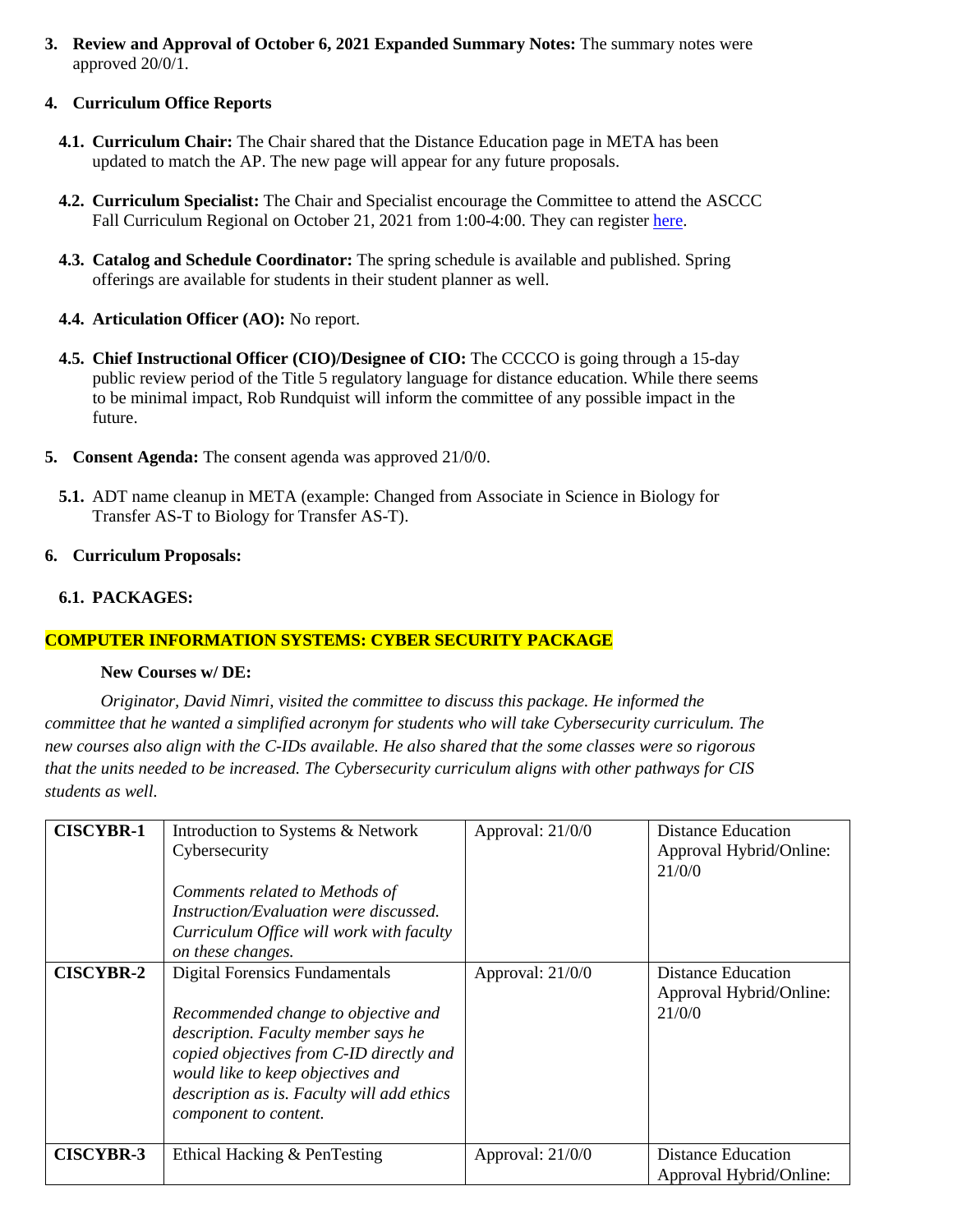**3. Review and Approval of October 6, 2021 Expanded Summary Notes:** The summary notes were approved 20/0/1.

## **4. Curriculum Office Reports**

- **4.1. Curriculum Chair:** The Chair shared that the Distance Education page in META has been updated to match the AP. The new page will appear for any future proposals.
- **4.2. Curriculum Specialist:** The Chair and Specialist encourage the Committee to attend the ASCCC Fall Curriculum Regional on October 21, 2021 from 1:00-4:00. They can register [here.](https://cccconfer.zoom.us/meeting/register/tJ0ude-gqz8jHtVN8zci_taX7no2L8Flj34_)
- **4.3. Catalog and Schedule Coordinator:** The spring schedule is available and published. Spring offerings are available for students in their student planner as well.
- **4.4. Articulation Officer (AO):** No report.
- **4.5. Chief Instructional Officer (CIO)/Designee of CIO:** The CCCCO is going through a 15-day public review period of the Title 5 regulatory language for distance education. While there seems to be minimal impact, Rob Rundquist will inform the committee of any possible impact in the future.
- **5. Consent Agenda:** The consent agenda was approved 21/0/0.
	- **5.1.** ADT name cleanup in META (example: Changed from Associate in Science in Biology for Transfer AS-T to Biology for Transfer AS-T).

#### **6. Curriculum Proposals:**

## **6.1. PACKAGES:**

#### **COMPUTER INFORMATION SYSTEMS: CYBER SECURITY PACKAGE**

#### **New Courses w/ DE:**

*Originator, David Nimri, visited the committee to discuss this package. He informed the committee that he wanted a simplified acronym for students who will take Cybersecurity curriculum. The new courses also align with the C-IDs available. He also shared that the some classes were so rigorous that the units needed to be increased. The Cybersecurity curriculum aligns with other pathways for CIS students as well.*

| <b>CISCYBR-1</b> | Introduction to Systems & Network<br>Cybersecurity<br>Comments related to Methods of<br><i>Instruction/Evaluation were discussed.</i><br>Curriculum Office will work with faculty<br>on these changes.                                                                      | Approval: $21/0/0$ | <b>Distance Education</b><br>Approval Hybrid/Online:<br>21/0/0 |
|------------------|-----------------------------------------------------------------------------------------------------------------------------------------------------------------------------------------------------------------------------------------------------------------------------|--------------------|----------------------------------------------------------------|
| <b>CISCYBR-2</b> | <b>Digital Forensics Fundamentals</b><br>Recommended change to objective and<br>description. Faculty member says he<br>copied objectives from C-ID directly and<br>would like to keep objectives and<br>description as is. Faculty will add ethics<br>component to content. | Approval: $21/0/0$ | <b>Distance Education</b><br>Approval Hybrid/Online:<br>21/0/0 |
| <b>CISCYBR-3</b> | Ethical Hacking & PenTesting                                                                                                                                                                                                                                                | Approval: $21/0/0$ | Distance Education<br>Approval Hybrid/Online:                  |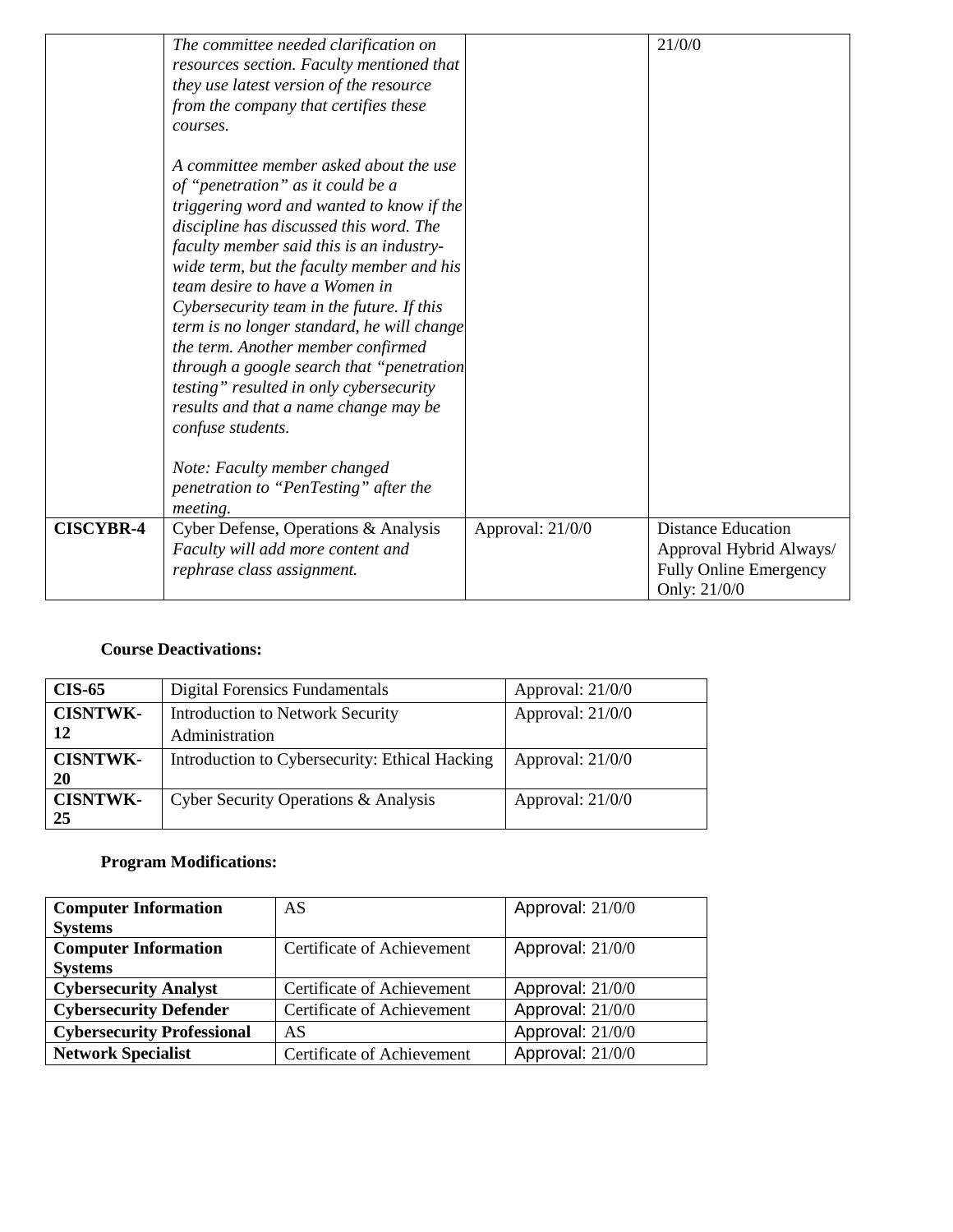|                  | The committee needed clarification on      |                  | 21/0/0                        |
|------------------|--------------------------------------------|------------------|-------------------------------|
|                  | resources section. Faculty mentioned that  |                  |                               |
|                  | they use latest version of the resource    |                  |                               |
|                  | from the company that certifies these      |                  |                               |
|                  | courses.                                   |                  |                               |
|                  |                                            |                  |                               |
|                  | A committee member asked about the use     |                  |                               |
|                  | of "penetration" as it could be a          |                  |                               |
|                  | triggering word and wanted to know if the  |                  |                               |
|                  | discipline has discussed this word. The    |                  |                               |
|                  | faculty member said this is an industry-   |                  |                               |
|                  | wide term, but the faculty member and his  |                  |                               |
|                  | team desire to have a Women in             |                  |                               |
|                  | Cybersecurity team in the future. If this  |                  |                               |
|                  | term is no longer standard, he will change |                  |                               |
|                  | the term. Another member confirmed         |                  |                               |
|                  | through a google search that "penetration  |                  |                               |
|                  | testing" resulted in only cybersecurity    |                  |                               |
|                  | results and that a name change may be      |                  |                               |
|                  | confuse students.                          |                  |                               |
|                  |                                            |                  |                               |
|                  | Note: Faculty member changed               |                  |                               |
|                  | penetration to "PenTesting" after the      |                  |                               |
|                  |                                            |                  |                               |
| <b>CISCYBR-4</b> | meeting.                                   |                  | <b>Distance Education</b>     |
|                  | Cyber Defense, Operations & Analysis       | Approval: 21/0/0 |                               |
|                  | Faculty will add more content and          |                  | Approval Hybrid Always/       |
|                  | rephrase class assignment.                 |                  | <b>Fully Online Emergency</b> |
|                  |                                            |                  | Only: 21/0/0                  |

# **Course Deactivations:**

| <b>CIS-65</b>   | Digital Forensics Fundamentals                 | Approval: $21/0/0$ |
|-----------------|------------------------------------------------|--------------------|
| <b>CISNTWK-</b> | <b>Introduction to Network Security</b>        | Approval: 21/0/0   |
| 12              | Administration                                 |                    |
| <b>CISNTWK-</b> | Introduction to Cybersecurity: Ethical Hacking | Approval: $21/0/0$ |
| <b>20</b>       |                                                |                    |
| <b>CISNTWK-</b> | Cyber Security Operations & Analysis           | Approval: $21/0/0$ |
| 25              |                                                |                    |

# **Program Modifications:**

| <b>Computer Information</b>       | AS                         | Approval: 21/0/0   |
|-----------------------------------|----------------------------|--------------------|
| <b>Systems</b>                    |                            |                    |
| <b>Computer Information</b>       | Certificate of Achievement | Approval: $21/0/0$ |
| <b>Systems</b>                    |                            |                    |
| <b>Cybersecurity Analyst</b>      | Certificate of Achievement | Approval: 21/0/0   |
| <b>Cybersecurity Defender</b>     | Certificate of Achievement | Approval: 21/0/0   |
| <b>Cybersecurity Professional</b> | AS                         | Approval: 21/0/0   |
| <b>Network Specialist</b>         | Certificate of Achievement | Approval: 21/0/0   |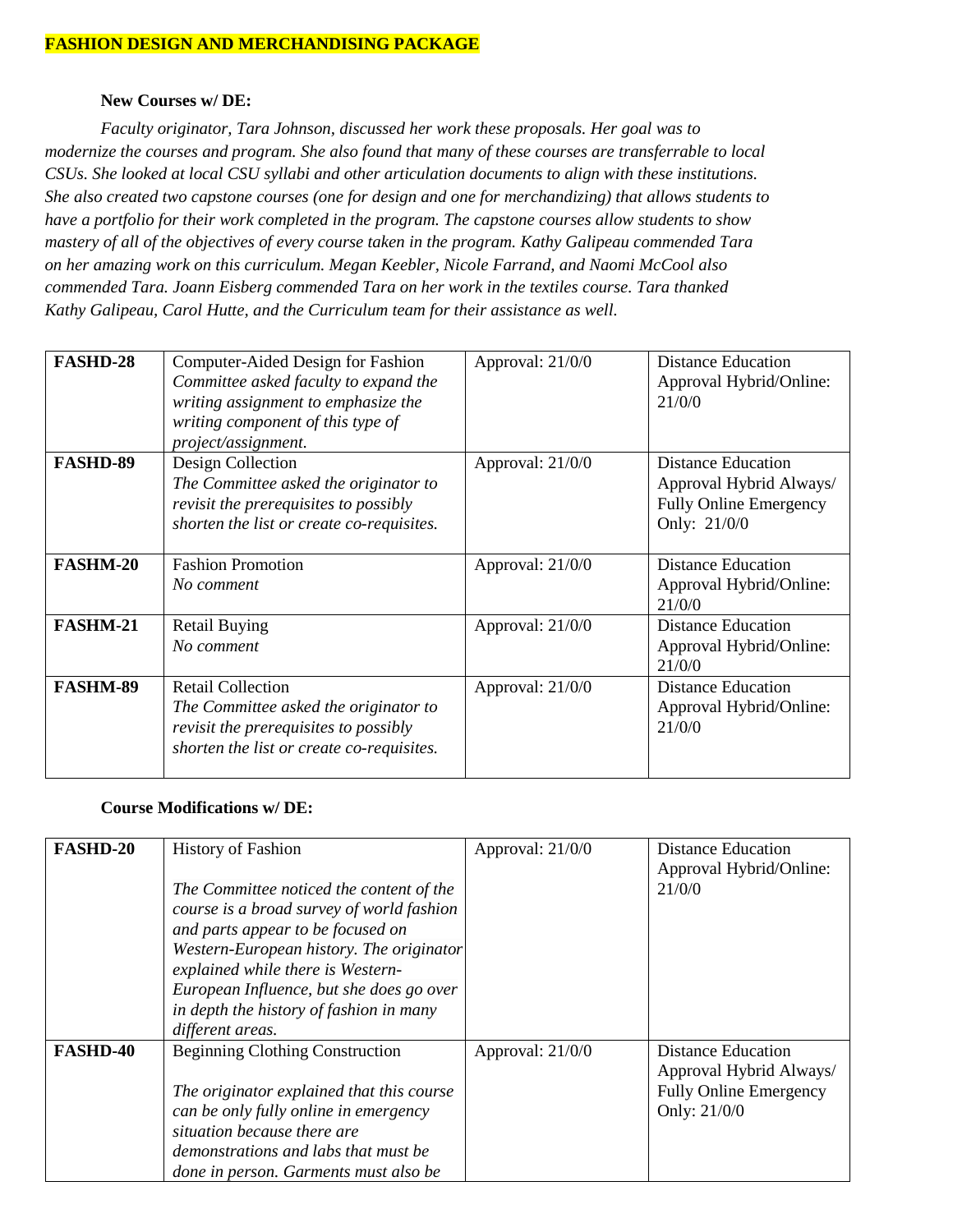#### **FASHION DESIGN AND MERCHANDISING PACKAGE**

#### **New Courses w/ DE:**

*Faculty originator, Tara Johnson, discussed her work these proposals. Her goal was to modernize the courses and program. She also found that many of these courses are transferrable to local CSUs. She looked at local CSU syllabi and other articulation documents to align with these institutions. She also created two capstone courses (one for design and one for merchandizing) that allows students to have a portfolio for their work completed in the program. The capstone courses allow students to show mastery of all of the objectives of every course taken in the program. Kathy Galipeau commended Tara on her amazing work on this curriculum. Megan Keebler, Nicole Farrand, and Naomi McCool also commended Tara. Joann Eisberg commended Tara on her work in the textiles course. Tara thanked Kathy Galipeau, Carol Hutte, and the Curriculum team for their assistance as well.* 

| <b>FASHD-28</b> | Computer-Aided Design for Fashion<br>Committee asked faculty to expand the<br>writing assignment to emphasize the<br>writing component of this type of<br>project/assignment. | Approval: 21/0/0   | Distance Education<br>Approval Hybrid/Online:<br>21/0/0                                               |
|-----------------|-------------------------------------------------------------------------------------------------------------------------------------------------------------------------------|--------------------|-------------------------------------------------------------------------------------------------------|
| <b>FASHD-89</b> | Design Collection<br>The Committee asked the originator to<br><i>revisit the prerequisites to possibly</i><br>shorten the list or create co-requisites.                       | Approval: 21/0/0   | <b>Distance Education</b><br>Approval Hybrid Always/<br><b>Fully Online Emergency</b><br>Only: 21/0/0 |
| <b>FASHM-20</b> | <b>Fashion Promotion</b><br>No comment                                                                                                                                        | Approval: 21/0/0   | Distance Education<br>Approval Hybrid/Online:<br>21/0/0                                               |
| <b>FASHM-21</b> | <b>Retail Buying</b><br>No comment                                                                                                                                            | Approval: $21/0/0$ | <b>Distance Education</b><br>Approval Hybrid/Online:<br>21/0/0                                        |
| <b>FASHM-89</b> | <b>Retail Collection</b><br>The Committee asked the originator to<br>revisit the prerequisites to possibly<br>shorten the list or create co-requisites.                       | Approval: 21/0/0   | <b>Distance Education</b><br>Approval Hybrid/Online:<br>21/0/0                                        |

#### **Course Modifications w/ DE:**

| <b>FASHD-20</b> | <b>History of Fashion</b><br>The Committee noticed the content of the<br>course is a broad survey of world fashion<br>and parts appear to be focused on<br>Western-European history. The originator<br>explained while there is Western-<br>European Influence, but she does go over<br>in depth the history of fashion in many<br>different areas. | Approval: 21/0/0 | <b>Distance Education</b><br>Approval Hybrid/Online:<br>21/0/0                                        |
|-----------------|-----------------------------------------------------------------------------------------------------------------------------------------------------------------------------------------------------------------------------------------------------------------------------------------------------------------------------------------------------|------------------|-------------------------------------------------------------------------------------------------------|
| <b>FASHD-40</b> | <b>Beginning Clothing Construction</b><br>The originator explained that this course<br>can be only fully online in emergency<br>situation because there are<br>demonstrations and labs that must be<br>done in person. Garments must also be                                                                                                        | Approval: 21/0/0 | <b>Distance Education</b><br>Approval Hybrid Always/<br><b>Fully Online Emergency</b><br>Only: 21/0/0 |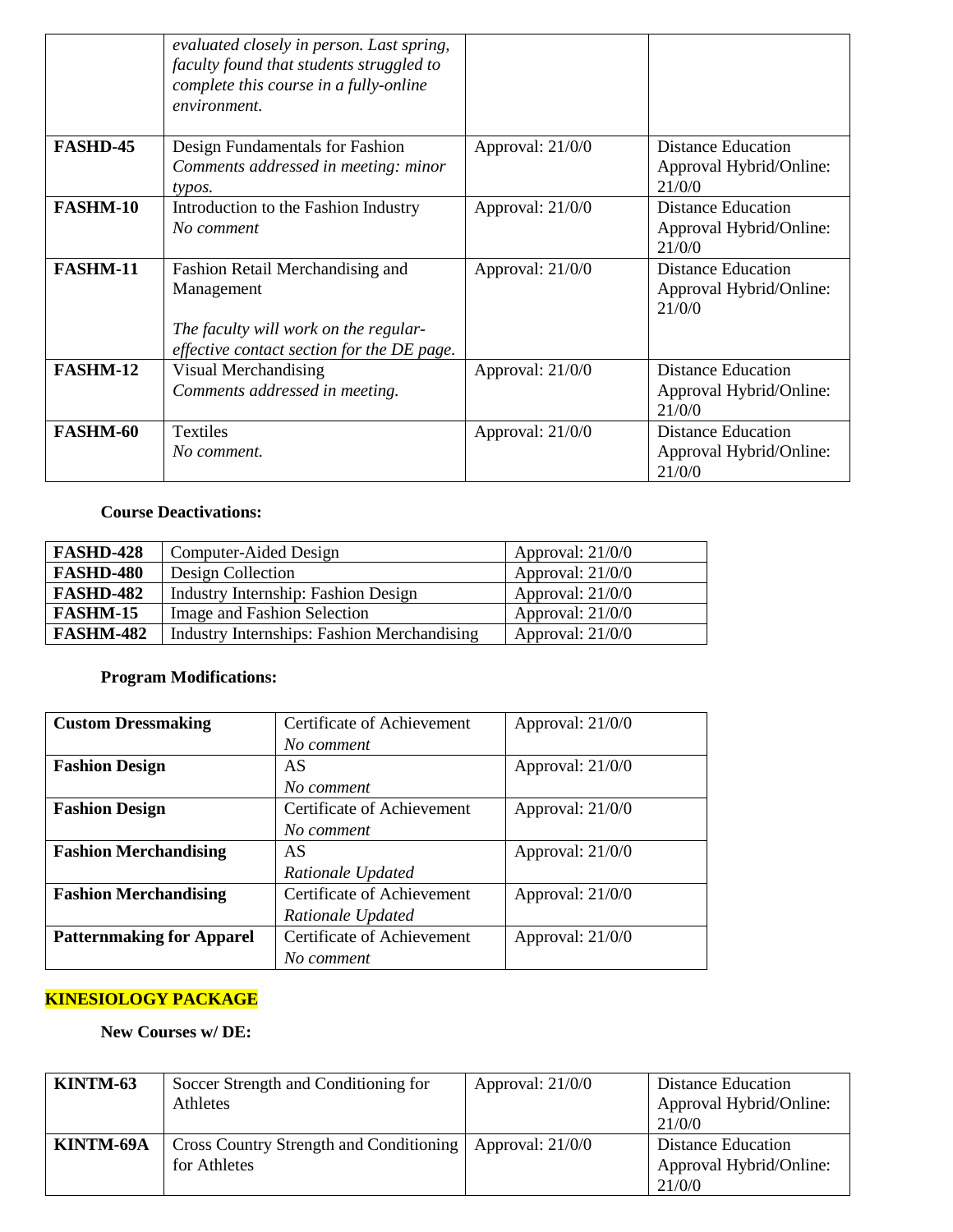|                 | evaluated closely in person. Last spring,<br>faculty found that students struggled to<br>complete this course in a fully-online<br>environment. |                    |                                                                |
|-----------------|-------------------------------------------------------------------------------------------------------------------------------------------------|--------------------|----------------------------------------------------------------|
| <b>FASHD-45</b> | Design Fundamentals for Fashion<br>Comments addressed in meeting: minor<br>typos.                                                               | Approval: 21/0/0   | <b>Distance Education</b><br>Approval Hybrid/Online:<br>21/0/0 |
| <b>FASHM-10</b> | Introduction to the Fashion Industry<br>No comment                                                                                              | Approval: 21/0/0   | <b>Distance Education</b><br>Approval Hybrid/Online:<br>21/0/0 |
| <b>FASHM-11</b> | Fashion Retail Merchandising and<br>Management<br>The faculty will work on the regular-<br>effective contact section for the DE page.           | Approval: 21/0/0   | <b>Distance Education</b><br>Approval Hybrid/Online:<br>21/0/0 |
| FASHM-12        | Visual Merchandising<br>Comments addressed in meeting.                                                                                          | Approval: 21/0/0   | <b>Distance Education</b><br>Approval Hybrid/Online:<br>21/0/0 |
| FASHM-60        | Textiles<br>No comment.                                                                                                                         | Approval: $21/0/0$ | <b>Distance Education</b><br>Approval Hybrid/Online:<br>21/0/0 |

## **Course Deactivations:**

| <b>FASHD-428</b> | Computer-Aided Design                       | Approval: $21/0/0$ |
|------------------|---------------------------------------------|--------------------|
| <b>FASHD-480</b> | Design Collection                           | Approval: $21/0/0$ |
| <b>FASHD-482</b> | Industry Internship: Fashion Design         | Approval: $21/0/0$ |
| <b>FASHM-15</b>  | Image and Fashion Selection                 | Approval: $21/0/0$ |
| <b>FASHM-482</b> | Industry Internships: Fashion Merchandising | Approval: $21/0/0$ |

# **Program Modifications:**

| <b>Custom Dressmaking</b>        | Certificate of Achievement | Approval: 21/0/0 |
|----------------------------------|----------------------------|------------------|
|                                  | No comment                 |                  |
| <b>Fashion Design</b>            | AS                         | Approval: 21/0/0 |
|                                  | No comment                 |                  |
| <b>Fashion Design</b>            | Certificate of Achievement | Approval: 21/0/0 |
|                                  | No comment                 |                  |
| <b>Fashion Merchandising</b>     | AS                         | Approval: 21/0/0 |
|                                  | Rationale Updated          |                  |
| <b>Fashion Merchandising</b>     | Certificate of Achievement | Approval: 21/0/0 |
|                                  | Rationale Updated          |                  |
| <b>Patternmaking for Apparel</b> | Certificate of Achievement | Approval: 21/0/0 |
|                                  | No comment                 |                  |

# **KINESIOLOGY PACKAGE**

**New Courses w/ DE:** 

| KINTM-63  | Soccer Strength and Conditioning for<br><b>Athletes</b> | Approval: $21/0/0$ | <b>Distance Education</b><br>Approval Hybrid/Online:<br>21/0/0 |
|-----------|---------------------------------------------------------|--------------------|----------------------------------------------------------------|
| KINTM-69A | Cross Country Strength and Conditioning<br>for Athletes | Approval: $21/0/0$ | <b>Distance Education</b><br>Approval Hybrid/Online:<br>21/0/0 |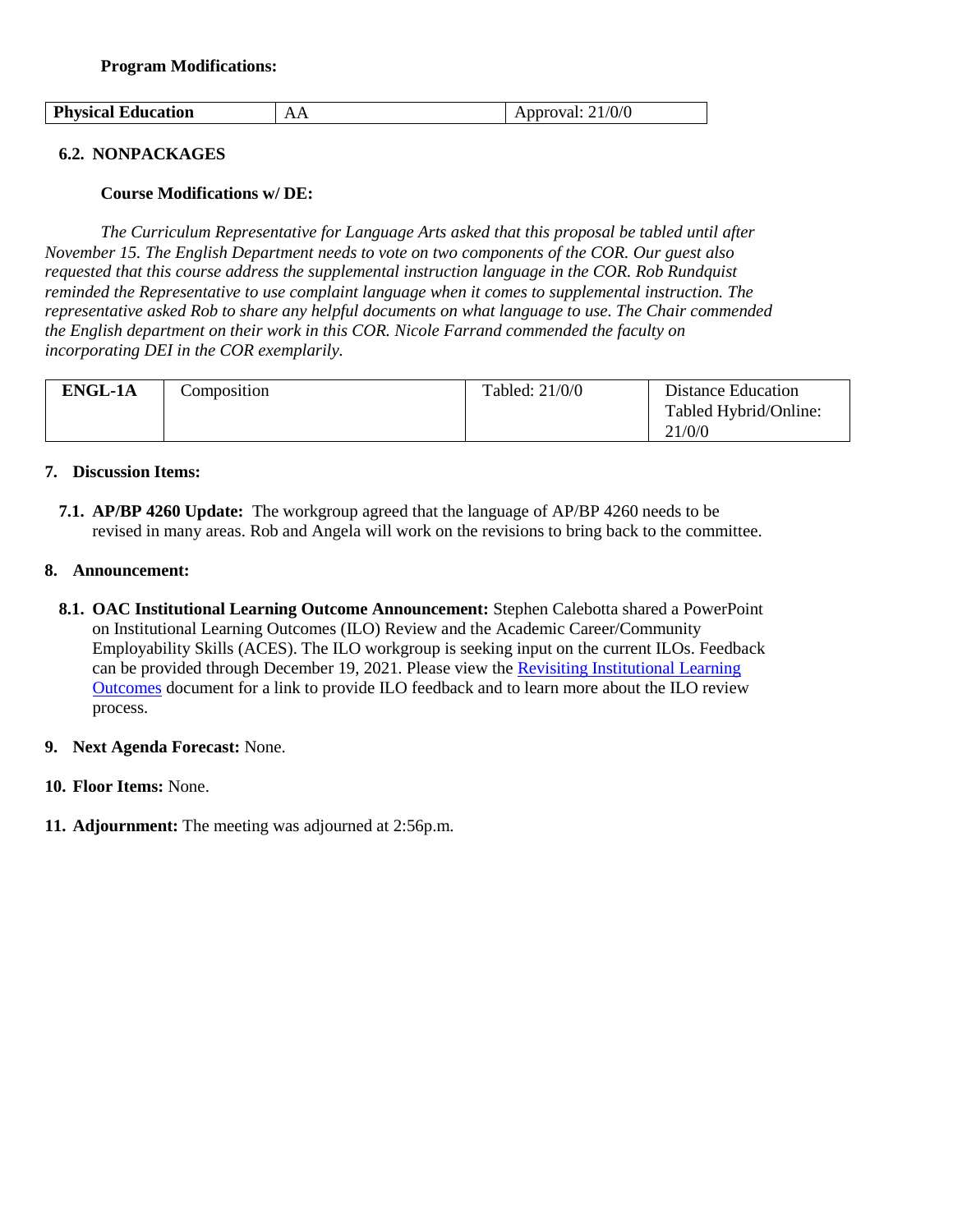**Program Modifications:** 

| <b>Physical Education</b> | $\sim$<br>. | 21/0/0<br>proval:<br>ADDIO |
|---------------------------|-------------|----------------------------|

## **6.2. NONPACKAGES**

#### **Course Modifications w/ DE:**

*The Curriculum Representative for Language Arts asked that this proposal be tabled until after November 15. The English Department needs to vote on two components of the COR. Our guest also requested that this course address the supplemental instruction language in the COR. Rob Rundquist reminded the Representative to use complaint language when it comes to supplemental instruction. The representative asked Rob to share any helpful documents on what language to use. The Chair commended the English department on their work in this COR. Nicole Farrand commended the faculty on incorporating DEI in the COR exemplarily.* 

| <b>ENGL-1A</b> | Composition | Tabled: 21/0/0 | <b>Distance Education</b>       |
|----------------|-------------|----------------|---------------------------------|
|                |             |                | Tabled Hybrid/Online:<br>21/0/0 |

#### **7. Discussion Items:**

**7.1. AP/BP 4260 Update:** The workgroup agreed that the language of AP/BP 4260 needs to be revised in many areas. Rob and Angela will work on the revisions to bring back to the committee.

#### **8. Announcement:**

- **8.1. OAC Institutional Learning Outcome Announcement:** Stephen Calebotta shared a PowerPoint on Institutional Learning Outcomes (ILO) Review and the Academic Career/Community Employability Skills (ACES). The ILO workgroup is seeking input on the current ILOs. Feedback can be provided through December 19, 2021. Please view the [Revisiting Institutional Learning](https://drive.google.com/file/d/1hrUFPt6tWb38GPNHzooIl-VCAkamH_zg/view?usp=sharing)  [Outcomes](https://drive.google.com/file/d/1hrUFPt6tWb38GPNHzooIl-VCAkamH_zg/view?usp=sharing) document for a link to provide ILO feedback and to learn more about the ILO review process.
- **9. Next Agenda Forecast:** None.
- **10. Floor Items:** None.
- **11. Adjournment:** The meeting was adjourned at 2:56p.m.